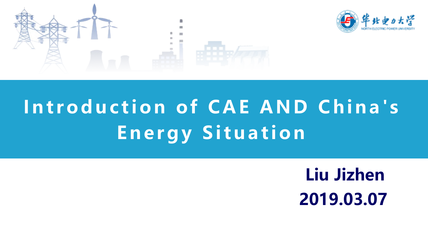



## **Introduction of CAE AND China's Energy Situation**

**Liu Jizhen 2019.03.07**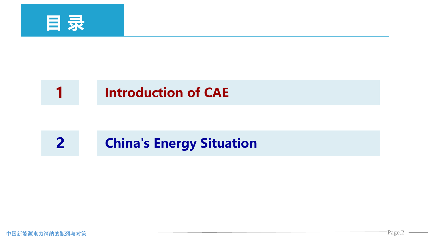

#### **1 Introduction of CAE**

#### **2 China's Energy Situation**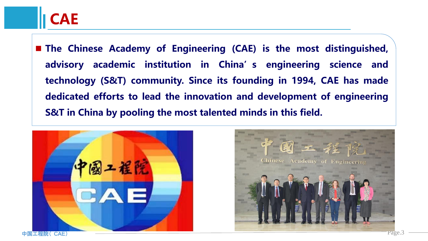**The Chinese Academy of Engineering (CAE) is the most distinguished, advisory academic institution in China's engineering science and technology (S&T) community. Since its founding in 1994, CAE has made dedicated efforts to lead the innovation and development of engineering S&T in China by pooling the most talented minds in this field.**



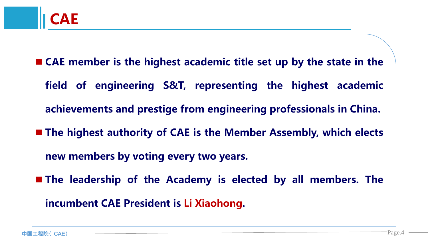- **CAE member is the highest academic title set up by the state in the field of engineering S&T, representing the highest academic achievements and prestige from engineering professionals in China. The highest authority of CAE is the Member Assembly, which elects new members by voting every two years.**
- **The leadership of the Academy is elected by all members. The incumbent CAE President is Li Xiaohong.**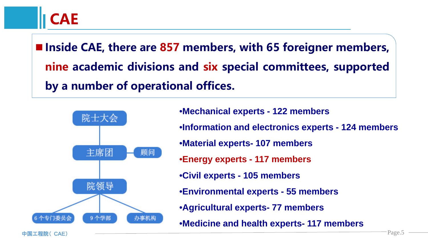**Inside CAE, there are 857 members, with 65 foreigner members, nine academic divisions and six special committees, supported by a number of operational offices.**



•**Mechanical experts - 122 members** •**Information and electronics experts - 124 members** •**Material experts- 107 members** •**Energy experts - 117 members** •**Civil experts - 105 members** •**Environmental experts - 55 members** •**Agricultural experts- 77 members** •**Medicine and health experts- 117 members**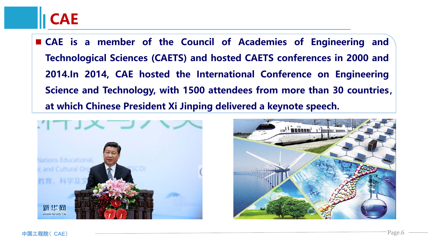### **CAE**

 **CAE is a member of the Council of Academies of Engineering and Technological Sciences (CAETS) and hosted CAETS conferences in 2000 and 2014.In 2014, CAE hosted the International Conference on Engineering Science and Technology, with 1500 attendees from more than 30 countries, at which Chinese President Xi Jinping delivered a keynote speech.**



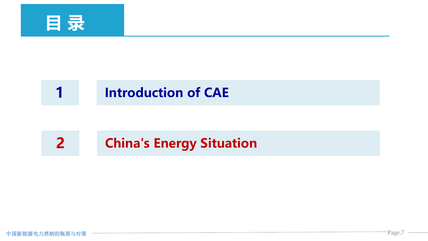

#### **1 Introduction of CAE**

#### **2 China's Energy Situation**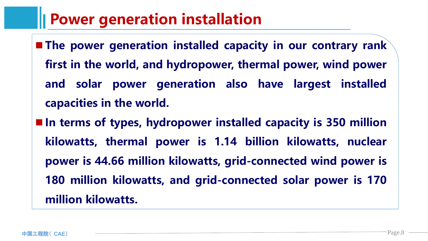#### **Power generation installation**

- **The power generation installed capacity in our contrary rank first in the world, and hydropower, thermal power, wind power and solar power generation also have largest installed capacities in the world.**
- **In terms of types, hydropower installed capacity is 350 million kilowatts, thermal power is 1.14 billion kilowatts, nuclear power is 44.66 million kilowatts, grid-connected wind power is 180 million kilowatts, and grid-connected solar power is 170 million kilowatts.**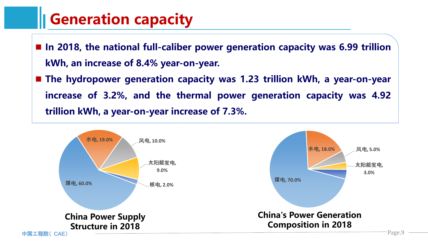#### **Generation capacity**

- **In 2018, the national full-caliber power generation capacity was 6.99 trillion kWh, an increase of 8.4% year-on-year.**
- **The hydropower generation capacity was 1.23 trillion kWh, a year-on-year increase of 3.2%, and the thermal power generation capacity was 4.92 trillion kWh, a year-on-year increase of 7.3%.**

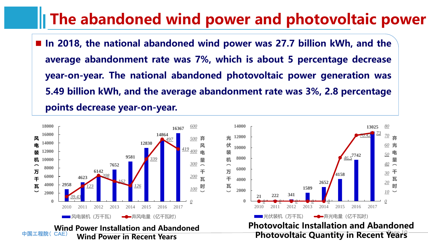#### **The abandoned wind power and photovoltaic power**

 **In 2018, the national abandoned wind power was 27.7 billion kWh, and the average abandonment rate was 7%, which is about 5 percentage decrease year-on-year. The national abandoned photovoltaic power generation was 5.49 billion kWh, and the average abandonment rate was 3%, 2.8 percentage points decrease year-on-year.**

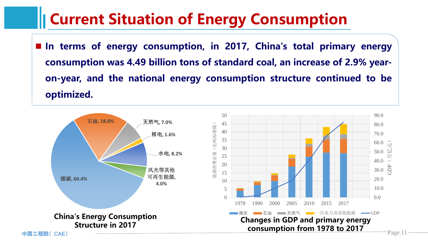#### **Current Situation of Energy Consumption**

 **In terms of energy consumption, in 2017, China's total primary energy consumption was 4.49 billion tons of standard coal, an increase of 2.9% yearon-year, and the national energy consumption structure continued to be optimized.**

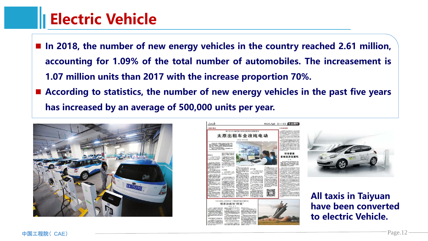#### **Electric Vehicle**

- **In 2018, the number of new energy vehicles in the country reached 2.61 million, accounting for 1.09% of the total number of automobiles. The increasement is 1.07 million units than 2017 with the increase proportion 70%.**
- **According to statistics, the number of new energy vehicles in the past five years has increased by an average of 500,000 units per year.**







**All taxis in Taiyuan have been converted to electric Vehicle.**